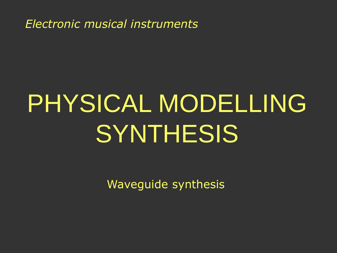*Electronic musical instruments*

# PHYSICAL MODELLING **SYNTHESIS**

Waveguide synthesis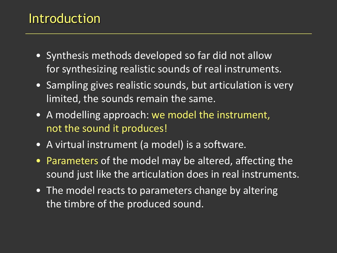#### Introduction

- Synthesis methods developed so far did not allow for synthesizing realistic sounds of real instruments.
- Sampling gives realistic sounds, but articulation is very limited, the sounds remain the same.
- A modelling approach: we model the instrument, not the sound it produces!
- A virtual instrument (a model) is a software.
- Parameters of the model may be altered, affecting the sound just like the articulation does in real instruments.
- The model reacts to parameters change by altering the timbre of the produced sound.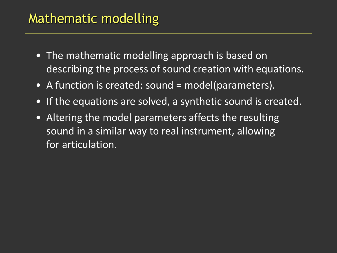## Mathematic modelling

- The mathematic modelling approach is based on describing the process of sound creation with equations.
- A function is created: sound = model(parameters).
- If the equations are solved, a synthetic sound is created.
- Altering the model parameters affects the resulting sound in a similar way to real instrument, allowing for articulation.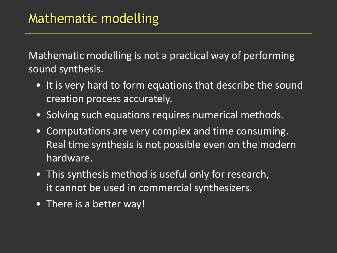Mathematic modelling is not a practical way of performing sound synthesis.

- It is very hard to form equations that describe the sound creation process accurately.
- Solving such equations requires numerical methods.
- Computations are very complex and time consuming. Real time synthesis is not possible even on the modern hardware.
- This synthesis method is useful only for research, it cannot be used in commercial synthesizers.
- There is a better way!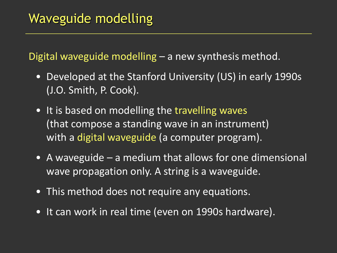Digital waveguide modelling – a new synthesis method.

- Developed at the Stanford University (US) in early 1990s (J.O. Smith, P. Cook).
- It is based on modelling the travelling waves (that compose a standing wave in an instrument) with a digital waveguide (a computer program).
- A waveguide a medium that allows for one dimensional wave propagation only. A string is a waveguide.
- This method does not require any equations.
- It can work in real time (even on 1990s hardware).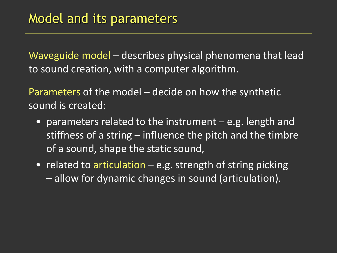Waveguide model – describes physical phenomena that lead to sound creation, with a computer algorithm.

Parameters of the model – decide on how the synthetic sound is created:

- parameters related to the instrument e.g. length and stiffness of a string – influence the pitch and the timbre of a sound, shape the static sound,
- related to articulation e.g. strength of string picking – allow for dynamic changes in sound (articulation).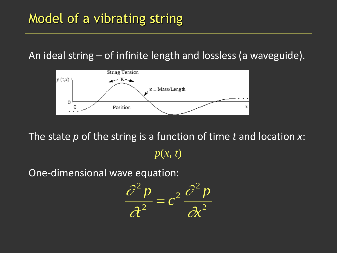An ideal string – of infinite length and lossless (a waveguide).



The state *p* of the string is a function of time *t* and location *x*:  $p(x, t)$ 

One-dimensional wave equation:

$$
\frac{\partial^2 p}{\partial t^2} = c^2 \frac{\partial^2 p}{\partial x^2}
$$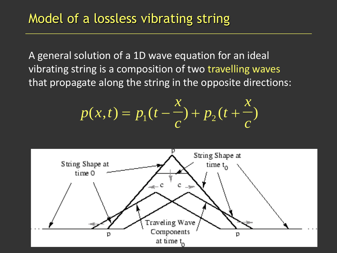A general solution of a 1D wave equation for an ideal vibrating string is a composition of two travelling waves that propagate along the string in the opposite directions:

$$
p(x,t) = p_1(t - \frac{x}{c}) + p_2(t + \frac{x}{c})
$$

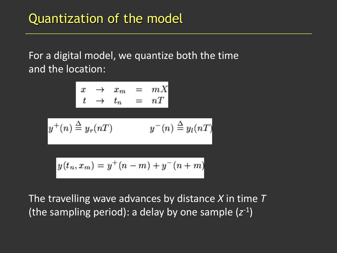For a digital model, we quantize both the time and the location:

$$
x \rightarrow x_m = mX
$$
  
\n
$$
t \rightarrow t_n = nT
$$
  
\n
$$
y^+(n) \stackrel{\Delta}{=} y_r(nT) \qquad y^-(n) \stackrel{\Delta}{=} y_l(nT)
$$
  
\n
$$
y(t_n, x_m) = y^+(n-m) + y^-(n+m)
$$

The travelling wave advances by distance *X* in time *T* (the sampling period): a delay by one sample (z<sup>-1</sup>)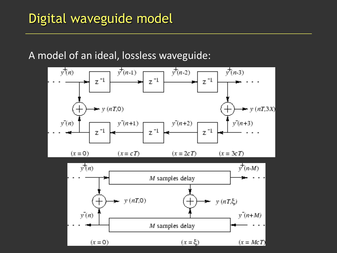#### A model of an ideal, lossless waveguide:

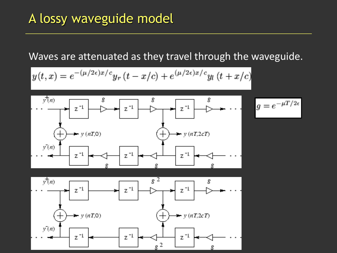## A lossy waveguide model

#### Waves are attenuated as they travel through the waveguide.

$$
y(t,x) = e^{-(\mu/2\epsilon)x/c} y_r(t - x/c) + e^{(\mu/2\epsilon)x/c} y_l(t + x/c)
$$



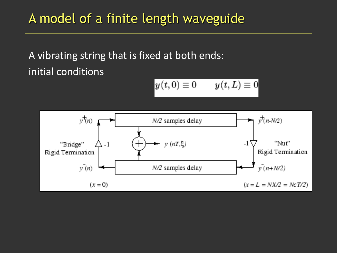## A model of a finite length waveguide

A vibrating string that is fixed at both ends: initial conditions

$$
y(t,0) \equiv 0 \qquad y(t,L) \equiv 0
$$

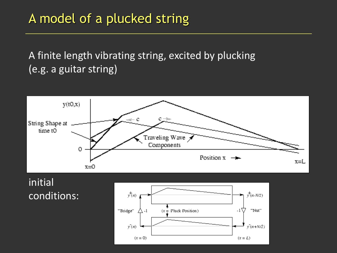## A model of a plucked string

#### A finite length vibrating string, excited by plucking (e.g. a guitar string)



initial conditions:

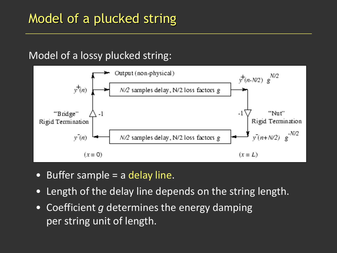#### Model of a lossy plucked string:



- Buffer sample = a delay line.
- Length of the delay line depends on the string length.
- Coefficient *g* determines the energy damping per string unit of length.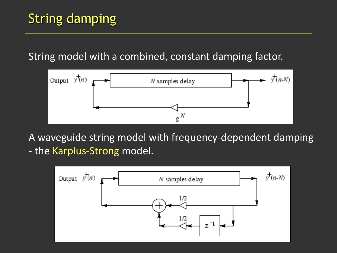#### String model with a combined, constant damping factor.



A waveguide string model with frequency-dependent damping - the Karplus-Strong model.

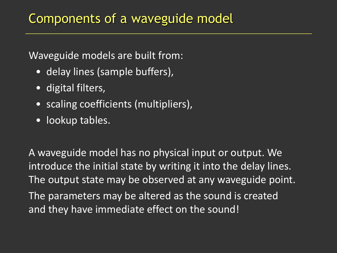#### Waveguide models are built from:

- delay lines (sample buffers),
- digital filters,
- scaling coefficients (multipliers),
- lookup tables.

A waveguide model has no physical input or output. We introduce the initial state by writing it into the delay lines. The output state may be observed at any waveguide point. The parameters may be altered as the sound is created and they have immediate effect on the sound!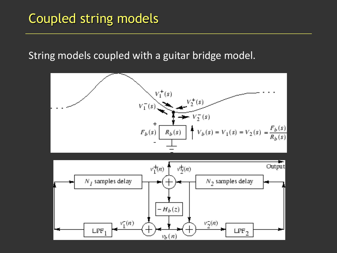## Coupled string models

#### String models coupled with a guitar bridge model.

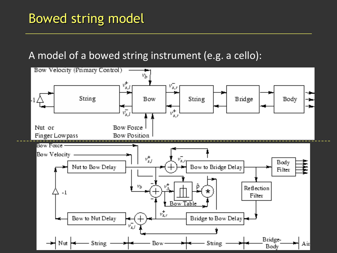## Bowed string model

#### A model of a bowed string instrument (e.g. a cello):

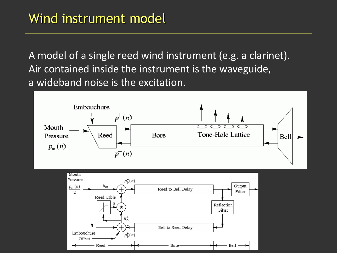A model of a single reed wind instrument (e.g. a clarinet). Air contained inside the instrument is the waveguide, a wideband noise is the excitation.

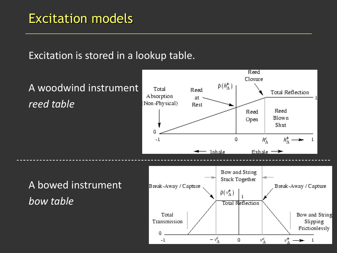#### Excitation models

#### Excitation is stored in a lookup table.

Reed Closure  $\rho(h^+_{\Lambda})$ A woodwind instrument Total Reed **Total Reflection** Absorption at *reed table* (Non-Physical) Rest Reed Reed Blown Open Shut 0 0  $h^c_\Lambda$  $h_{\Lambda}^+$  —  $-1$ - Inhale Exhale  $\rightarrow$ Bow and String Stuck Together A bowed instrument Break-Away / Capture Break-Away / Capture  $\hat{\rho}(\nu_\Delta^+)$ *bow table*Total Reflection Total Bow and String Transmission Slipping Frictionlessly 0

-1

 $-\nu_{\Lambda}^{\epsilon}$ 

0

νź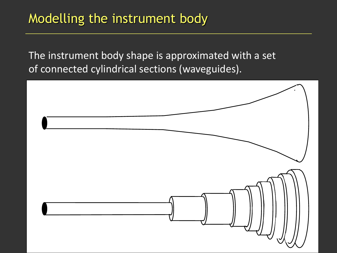## Modelling the instrument body

The instrument body shape is approximated with a set of connected cylindrical sections (waveguides).

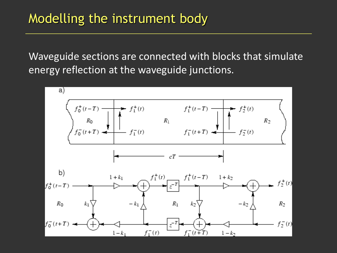## Modelling the instrument body

Waveguide sections are connected with blocks that simulate energy reflection at the waveguide junctions.

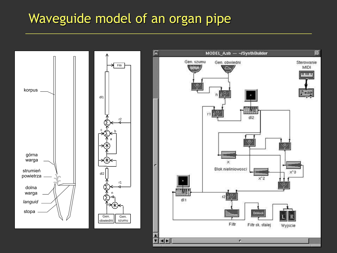#### Waveguide model of an organ pipe

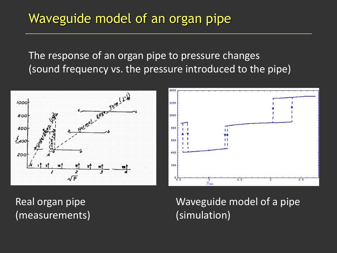## Waveguide model of an organ pipe

The response of an organ pipe to pressure changes (sound frequency vs. the pressure introduced to the pipe)





Real organ pipe (measurements) Waveguide model of a pipe (simulation)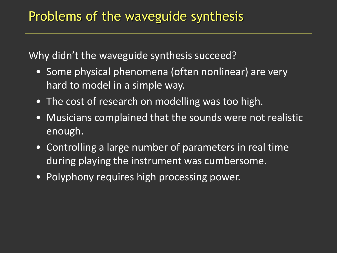Why didn't the waveguide synthesis succeed?

- Some physical phenomena (often nonlinear) are very hard to model in a simple way.
- The cost of research on modelling was too high.
- Musicians complained that the sounds were not realistic enough.
- Controlling a large number of parameters in real time during playing the instrument was cumbersome.
- Polyphony requires high processing power.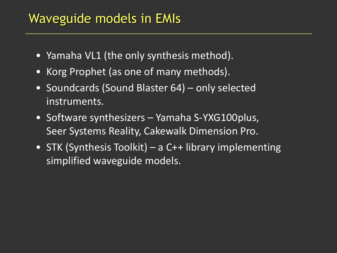#### Waveguide models in EMIs

- Yamaha VL1 (the only synthesis method).
- Korg Prophet (as one of many methods).
- Soundcards (Sound Blaster 64) only selected instruments.
- Software synthesizers Yamaha S-YXG100plus, Seer Systems Reality, Cakewalk Dimension Pro.
- STK (Synthesis Toolkit) a C++ library implementing simplified waveguide models.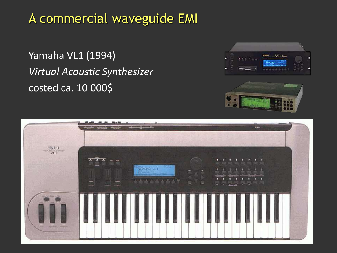## A commercial waveguide EMI

Yamaha VL1 (1994) *Virtual Acoustic Synthesizer* costed ca. 10 000\$





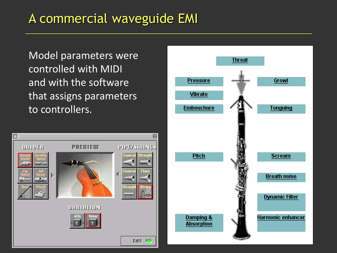## A commercial waveguide EMI

Model parameters were controlled with MIDI and with the software that assigns parameters to controllers.



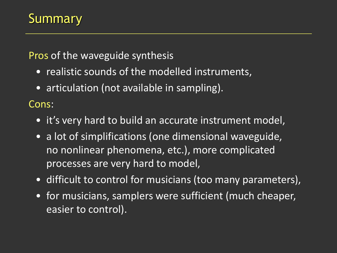## **Summary**

Pros of the waveguide synthesis

- realistic sounds of the modelled instruments,
- articulation (not available in sampling).

Cons:

- it's very hard to build an accurate instrument model,
- a lot of simplifications (one dimensional waveguide, no nonlinear phenomena, etc.), more complicated processes are very hard to model,
- difficult to control for musicians (too many parameters),
- for musicians, samplers were sufficient (much cheaper, easier to control).